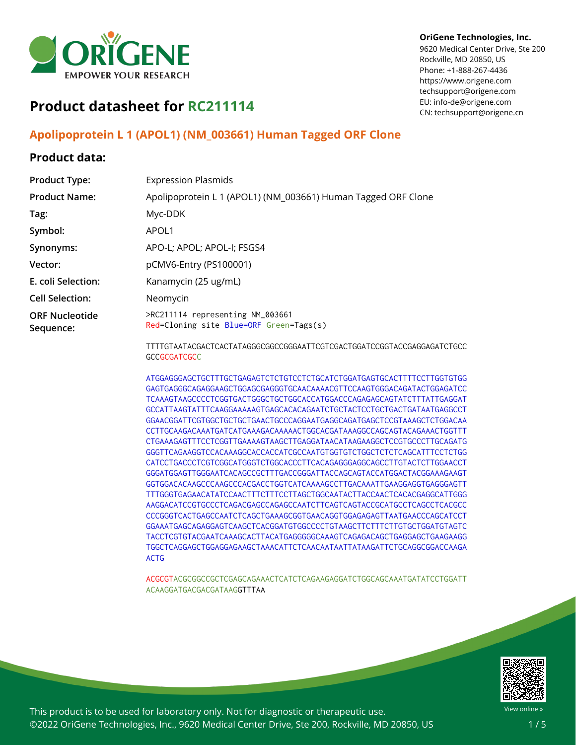

#### **OriGene Technologies, Inc.**

9620 Medical Center Drive, Ste 200 Rockville, MD 20850, US Phone: +1-888-267-4436 https://www.origene.com techsupport@origene.com EU: info-de@origene.com CN: techsupport@origene.cn

# **Product datasheet for RC211114**

## **Apolipoprotein L 1 (APOL1) (NM\_003661) Human Tagged ORF Clone**

### **Product data:**

| <b>Product Type:</b>               | <b>Expression Plasmids</b>                                                  |  |
|------------------------------------|-----------------------------------------------------------------------------|--|
| <b>Product Name:</b>               | Apolipoprotein L 1 (APOL1) (NM_003661) Human Tagged ORF Clone               |  |
| Tag:                               | Myc-DDK                                                                     |  |
| Symbol:                            | APOL <sub>1</sub>                                                           |  |
| Synonyms:                          | APO-L: APOL: APOL-I: FSGS4                                                  |  |
| Vector:                            | pCMV6-Entry (PS100001)                                                      |  |
| E. coli Selection:                 | Kanamycin (25 ug/mL)                                                        |  |
| <b>Cell Selection:</b>             | Neomycin                                                                    |  |
| <b>ORF Nucleotide</b><br>Sequence: | >RC211114 representing NM_003661<br>Red=Cloning site Blue=ORF Green=Tags(s) |  |
|                                    |                                                                             |  |

TTTTGTAATACGACTCACTATAGGGCGGCCGGGAATTCGTCGACTGGATCCGGTACCGAGGAGATCTGCC **GCCGCGATCGCC** 

ATGGAGGGAGCTGCTTTGCTGAGAGTCTCTGTCCTCTGCATCTGGATGAGTGCACTTTTCCTTGGTGTGG GAGTGAGGGCAGAGGAAGCTGGAGCGAGGGTGCAACAAAACGTTCCAAGTGGGACAGATACTGGAGATCC TCAAAGTAAGCCCCTCGGTGACTGGGCTGCTGGCACCATGGACCCAGAGAGCAGTATCTTTATTGAGGAT GCCATTAAGTATTTCAAGGAAAAAGTGAGCACACAGAATCTGCTACTCCTGCTGACTGATAATGAGGCCT GGAACGGATTCGTGGCTGCTGCTGAACTGCCCAGGAATGAGGCAGATGAGCTCCGTAAAGCTCTGGACAA CCTTGCAAGACAAATGATCATGAAAGACAAAAACTGGCACGATAAAGGCCAGCAGTACAGAAACTGGTTT CTGAAAGAGTTTCCTCGGTTGAAAAGTAAGCTTGAGGATAACATAAGAAGGCTCCGTGCCCTTGCAGATG GGGTTCAGAAGGTCCACAAAGGCACCACCATCGCCAATGTGGTGTCTGGCTCTCTCAGCATTTCCTCTGG CATCCTGACCCTCGTCGGCATGGGTCTGGCACCCTTCACAGAGGGAGGCAGCCTTGTACTCTTGGAACCT GGGATGGAGTTGGGAATCACAGCCGCTTTGACCGGGATTACCAGCAGTACCATGGACTACGGAAAGAAGT GGTGGACACAAGCCCAAGCCCACGACCTGGTCATCAAAAGCCTTGACAAATTGAAGGAGGTGAGGGAGTT TTTGGGTGAGAACATATCCAACTTTCTTTCCTTAGCTGGCAATACTTACCAACTCACACGAGGCATTGGG AAGGACATCCGTGCCCTCAGACGAGCCAGAGCCAATCTTCAGTCAGTACCGCATGCCTCAGCCTCACGCC CCCGGGTCACTGAGCCAATCTCAGCTGAAAGCGGTGAACAGGTGGAGAGAGTTAATGAACCCAGCATCCT GGAAATGAGCAGAGGAGTCAAGCTCACGGATGTGGCCCCTGTAAGCTTCTTTCTTGTGCTGGATGTAGTC TACCTCGTGTACGAATCAAAGCACTTACATGAGGGGGCAAAGTCAGAGACAGCTGAGGAGCTGAAGAAGG TGGCTCAGGAGCTGGAGGAGAAGCTAAACATTCTCAACAATAATTATAAGATTCTGCAGGCGGACCAAGA ACTG

ACGCGTACGCGGCCGCTCGAGCAGAAACTCATCTCAGAAGAGGATCTGGCAGCAAATGATATCCTGGATT ACAAGGATGACGACGATAAGGTTTAA



View online »

This product is to be used for laboratory only. Not for diagnostic or therapeutic use. ©2022 OriGene Technologies, Inc., 9620 Medical Center Drive, Ste 200, Rockville, MD 20850, US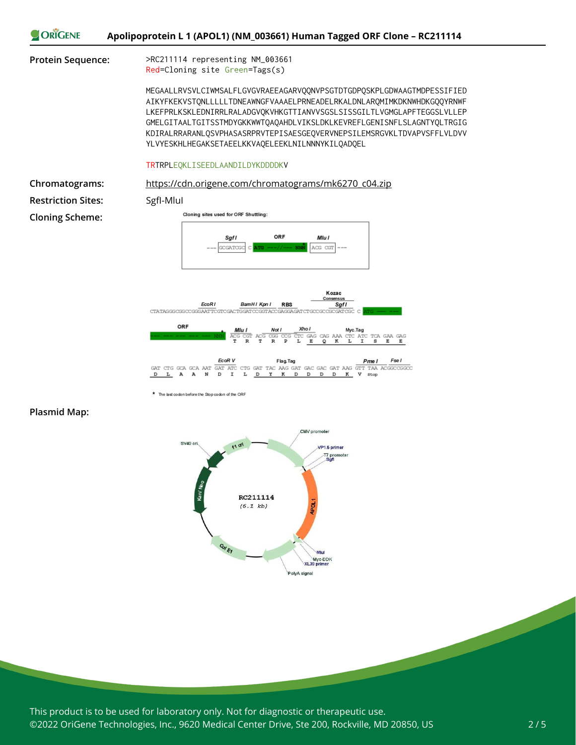

**Plasmid Map:**



\* The last codon before the Stop codon of the ORF

This product is to be used for laboratory only. Not for diagnostic or therapeutic use. ©2022 OriGene Technologies, Inc., 9620 Medical Center Drive, Ste 200, Rockville, MD 20850, US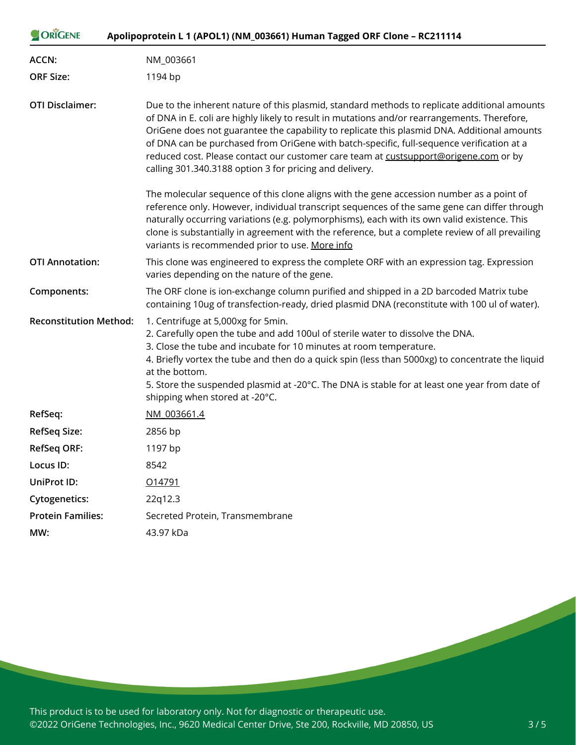| ORIGENE<br>Apolipoprotein L 1 (APOL1) (NM_003661) Human Tagged ORF Clone - RC211114                                                                                                                    |                                                                                                                                                                                                                                                                                                                                                                                                                                                                                                                                             |  |
|--------------------------------------------------------------------------------------------------------------------------------------------------------------------------------------------------------|---------------------------------------------------------------------------------------------------------------------------------------------------------------------------------------------------------------------------------------------------------------------------------------------------------------------------------------------------------------------------------------------------------------------------------------------------------------------------------------------------------------------------------------------|--|
| <b>ACCN:</b>                                                                                                                                                                                           | NM_003661                                                                                                                                                                                                                                                                                                                                                                                                                                                                                                                                   |  |
| <b>ORF Size:</b>                                                                                                                                                                                       | 1194 bp                                                                                                                                                                                                                                                                                                                                                                                                                                                                                                                                     |  |
| <b>OTI Disclaimer:</b>                                                                                                                                                                                 | Due to the inherent nature of this plasmid, standard methods to replicate additional amounts<br>of DNA in E. coli are highly likely to result in mutations and/or rearrangements. Therefore,<br>OriGene does not guarantee the capability to replicate this plasmid DNA. Additional amounts<br>of DNA can be purchased from OriGene with batch-specific, full-sequence verification at a<br>reduced cost. Please contact our customer care team at custsupport@origene.com or by<br>calling 301.340.3188 option 3 for pricing and delivery. |  |
|                                                                                                                                                                                                        | The molecular sequence of this clone aligns with the gene accession number as a point of<br>reference only. However, individual transcript sequences of the same gene can differ through<br>naturally occurring variations (e.g. polymorphisms), each with its own valid existence. This<br>clone is substantially in agreement with the reference, but a complete review of all prevailing<br>variants is recommended prior to use. More info                                                                                              |  |
| <b>OTI Annotation:</b>                                                                                                                                                                                 | This clone was engineered to express the complete ORF with an expression tag. Expression<br>varies depending on the nature of the gene.                                                                                                                                                                                                                                                                                                                                                                                                     |  |
| The ORF clone is ion-exchange column purified and shipped in a 2D barcoded Matrix tube<br>Components:<br>containing 10ug of transfection-ready, dried plasmid DNA (reconstitute with 100 ul of water). |                                                                                                                                                                                                                                                                                                                                                                                                                                                                                                                                             |  |
| <b>Reconstitution Method:</b>                                                                                                                                                                          | 1. Centrifuge at 5,000xg for 5min.<br>2. Carefully open the tube and add 100ul of sterile water to dissolve the DNA.<br>3. Close the tube and incubate for 10 minutes at room temperature.<br>4. Briefly vortex the tube and then do a quick spin (less than 5000xg) to concentrate the liquid<br>at the bottom.<br>5. Store the suspended plasmid at -20°C. The DNA is stable for at least one year from date of<br>shipping when stored at -20°C.                                                                                         |  |
| RefSeq:                                                                                                                                                                                                | NM 003661.4                                                                                                                                                                                                                                                                                                                                                                                                                                                                                                                                 |  |
| <b>RefSeq Size:</b>                                                                                                                                                                                    | 2856 bp                                                                                                                                                                                                                                                                                                                                                                                                                                                                                                                                     |  |
| <b>RefSeq ORF:</b>                                                                                                                                                                                     | 1197 bp                                                                                                                                                                                                                                                                                                                                                                                                                                                                                                                                     |  |
| Locus ID:                                                                                                                                                                                              | 8542                                                                                                                                                                                                                                                                                                                                                                                                                                                                                                                                        |  |
| <b>UniProt ID:</b>                                                                                                                                                                                     | 014791                                                                                                                                                                                                                                                                                                                                                                                                                                                                                                                                      |  |
| <b>Cytogenetics:</b>                                                                                                                                                                                   | 22q12.3                                                                                                                                                                                                                                                                                                                                                                                                                                                                                                                                     |  |
| <b>Protein Families:</b>                                                                                                                                                                               | Secreted Protein, Transmembrane                                                                                                                                                                                                                                                                                                                                                                                                                                                                                                             |  |
| MW:                                                                                                                                                                                                    | 43.97 kDa                                                                                                                                                                                                                                                                                                                                                                                                                                                                                                                                   |  |

This product is to be used for laboratory only. Not for diagnostic or therapeutic use. ©2022 OriGene Technologies, Inc., 9620 Medical Center Drive, Ste 200, Rockville, MD 20850, US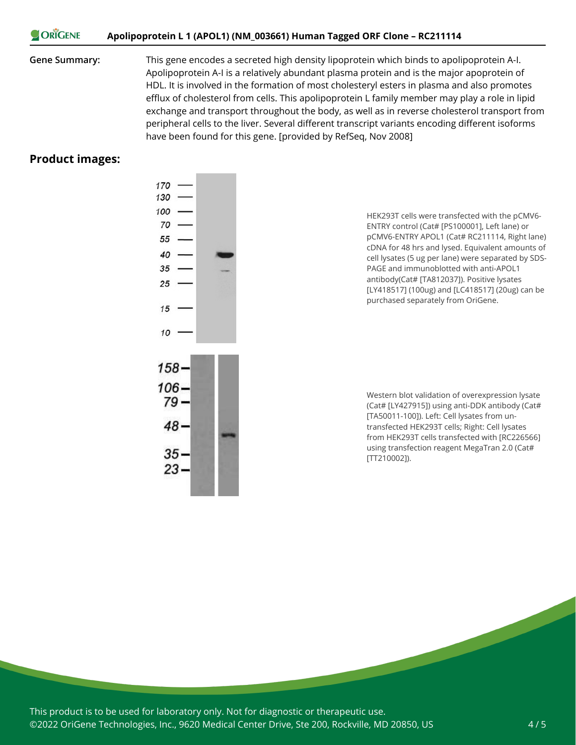#### ORIGENE **Apolipoprotein L 1 (APOL1) (NM\_003661) Human Tagged ORF Clone – RC211114**

**Gene Summary:** This gene encodes a secreted high density lipoprotein which binds to apolipoprotein A-I. Apolipoprotein A-I is a relatively abundant plasma protein and is the major apoprotein of HDL. It is involved in the formation of most cholesteryl esters in plasma and also promotes efflux of cholesterol from cells. This apolipoprotein L family member may play a role in lipid exchange and transport throughout the body, as well as in reverse cholesterol transport from peripheral cells to the liver. Several different transcript variants encoding different isoforms have been found for this gene. [provided by RefSeq, Nov 2008]

#### **Product images:**



HEK293T cells were transfected with the pCMV6- ENTRY control (Cat# [PS100001], Left lane) or pCMV6-ENTRY APOL1 (Cat# RC211114, Right lane) cDNA for 48 hrs and lysed. Equivalent amounts of cell lysates (5 ug per lane) were separated by SDS-PAGE and immunoblotted with anti-APOL1 antibody(Cat# [TA812037]). Positive lysates [LY418517] (100ug) and [LC418517] (20ug) can be purchased separately from OriGene.

Western blot validation of overexpression lysate (Cat# [LY427915]) using anti-DDK antibody (Cat# [TA50011-100]). Left: Cell lysates from untransfected HEK293T cells; Right: Cell lysates from HEK293T cells transfected with [RC226566] using transfection reagent MegaTran 2.0 (Cat# [TT210002]).

This product is to be used for laboratory only. Not for diagnostic or therapeutic use. ©2022 OriGene Technologies, Inc., 9620 Medical Center Drive, Ste 200, Rockville, MD 20850, US